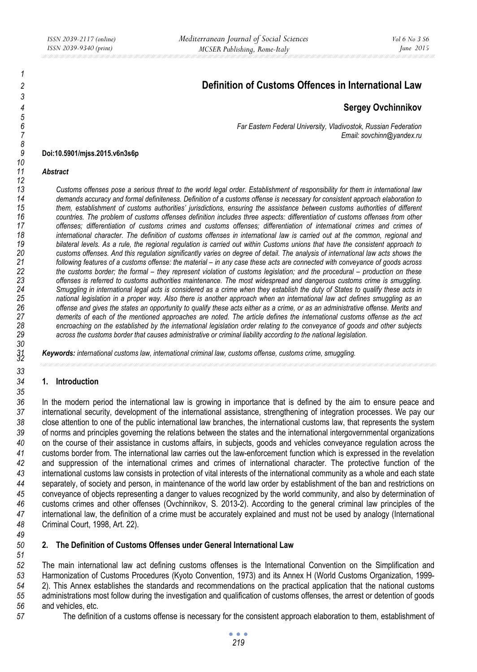# **Definition of Customs Offences in International Law**

# **Sergey Ovchinnikov**

*6 Far Eastern Federal University, Vladivostok, Russian Federation 7 Email: sovchinn@yandex.ru* 

#### **Doi:10.5901/mjss.2015.v6n3s6p**

#### *Abstract*

*13 Customs offenses pose a serious threat to the world legal order. Establishment of responsibility for them in international law 14 demands accuracy and formal definiteness. Definition of a customs offense is necessary for consistent approach elaboration to 15 them, establishment of customs authorities' jurisdictions, ensuring the assistance between customs authorities of different 16 countries. The problem of customs offenses definition includes three aspects: differentiation of customs offenses from other 17 offenses; differentiation of customs crimes and customs offenses; differentiation of international crimes and crimes of 18 international character. The definition of customs offenses in international law is carried out at the common, regional and 19 bilateral levels. As a rule, the regional regulation is carried out within Customs unions that have the consistent approach to 20 customs offenses. And this regulation significantly varies on degree of detail. The analysis of international law acts shows the 21 following features of a customs offense: the material – in any case these acts are connected with conveyance of goods across*  the customs border; the formal – they represent violation of customs legislation; and the procedural – production on these offenses is referred to customs authorities maintenance. The most widespread and dangerous cus *23 offenses is referred to customs authorities maintenance. The most widespread and dangerous customs crime is smuggling. 24 Smuggling in international legal acts is considered as a crime when they establish the duty of States to qualify these acts in 25 national legislation in a proper way. Also there is another approach when an international law act defines smuggling as an 26 offense and gives the states an opportunity to qualify these acts either as a crime, or as an administrative offense. Merits and 27 demerits of each of the mentioned approaches are noted. The article defines the international customs offense as the act 28 encroaching on the established by the international legislation order relating to the conveyance of goods and other subjects 29 across the customs border that causes administrative or criminal liability according to the national legislation.* 

*Keywords: international customs law, international criminal law, customs offense, customs crime, smuggling. <sup>32</sup>*

#### **1. Introduction**

In the modern period the international law is growing in importance that is defined by the aim to ensure peace and international security, development of the international assistance, strengthening of integration processes. We pay our close attention to one of the public international law branches, the international customs law, that represents the system of norms and principles governing the relations between the states and the international intergovernmental organizations on the course of their assistance in customs affairs, in subjects, goods and vehicles conveyance regulation across the customs border from. The international law carries out the law-enforcement function which is expressed in the revelation and suppression of the international crimes and crimes of international character. The protective function of the international customs law consists in protection of vital interests of the international community as a whole and each state separately, of society and person, in maintenance of the world law order by establishment of the ban and restrictions on conveyance of objects representing a danger to values recognized by the world community, and also by determination of customs crimes and other offenses (Ovchinnikov, S. 2013-2). According to the general criminal law principles of the international law, the definition of a crime must be accurately explained and must not be used by analogy (International Criminal Court, 1998, Art. 22).

## **2. The Definition of Customs Offenses under General International Law**

The main international law act defining customs offenses is the International Convention on the Simplification and Harmonization of Customs Procedures (Kyoto Convention, 1973) and its Annex H (World Customs Organization, 1999- 2). This Annex establishes the standards and recommendations on the practical application that the national customs administrations most follow during the investigation and qualification of customs offenses, the arrest or detention of goods and vehicles, etc.

The definition of a customs offense is necessary for the consistent approach elaboration to them, establishment of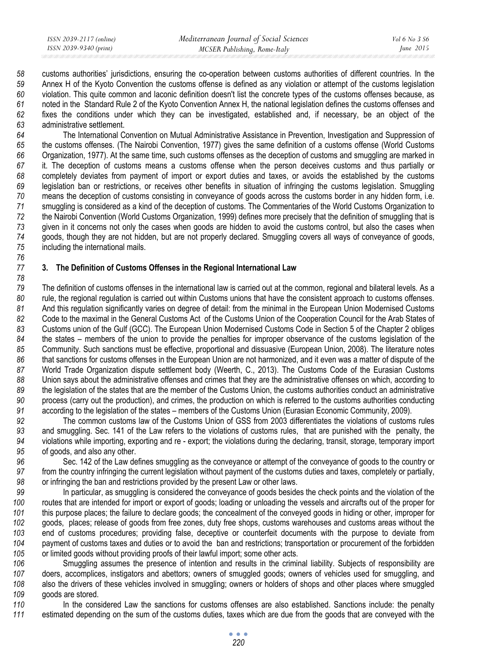customs authorities' jurisdictions, ensuring the co-operation between customs authorities of different countries. In the Annex H of the Kyoto Convention the customs offense is defined as any violation or attempt of the customs legislation violation. This quite common and laconic definition doesn't list the concrete types of the customs offenses because, as noted in the Standard Rule 2 of the Kyoto Convention Annex H, the national legislation defines the customs offenses and fixes the conditions under which they can be investigated, established and, if necessary, be an object of the administrative settlement.

The International Convention on Mutual Administrative Assistance in Prevention, Investigation and Suppression of the customs offenses. (The Nairobi Convention, 1977) gives the same definition of a customs offense (World Customs Organization, 1977). At the same time, such customs offenses as the deception of customs and smuggling are marked in it. The deception of customs means a customs offense when the person deceives customs and thus partially or completely deviates from payment of import or export duties and taxes, or avoids the established by the customs legislation ban or restrictions, or receives other benefits in situation of infringing the customs legislation. Smuggling means the deception of customs consisting in conveyance of goods across the customs border in any hidden form, i.e. smuggling is considered as a kind of the deception of customs. The Commentaries of the World Customs Organization to the Nairobi Convention (World Customs Organization, 1999) defines more precisely that the definition of smuggling that is given in it concerns not only the cases when goods are hidden to avoid the customs control, but also the cases when goods, though they are not hidden, but are not properly declared. Smuggling covers all ways of conveyance of goods, including the international mails.

### **3. The Definition of Customs Offenses in the Regional International Law**

The definition of customs offenses in the international law is carried out at the common, regional and bilateral levels. As a rule, the regional regulation is carried out within Customs unions that have the consistent approach to customs offenses. And this regulation significantly varies on degree of detail: from the minimal in the European Union Modernised Customs Code to the maximal in the General Customs Act of the Customs Union of the Cooperation Council for the Arab States of Customs union of the Gulf (GCC). The European Union Modernised Customs Code in Section 5 of the Chapter 2 obliges the states – members of the union to provide the penalties for improper observance of the customs legislation of the Community. Such sanctions must be effective, proportional and dissuasive (European Union, 2008). The literature notes that sanctions for customs offenses in the European Union are not harmonized, and it even was a matter of dispute of the World Trade Organization dispute settlement body (Weerth, C., 2013). The Customs Code of the Eurasian Customs Union says about the administrative offenses and crimes that they are the administrative offenses on which, according to the legislation of the states that are the member of the Customs Union, the customs authorities conduct an administrative process (carry out the production), and crimes, the production on which is referred to the customs authorities conducting according to the legislation of the states – members of the Customs Union (Eurasian Economic Community, 2009).

The common customs law of the Customs Union of GSS from 2003 differentiates the violations of customs rules and smuggling. Sec. 141 of the Law refers to the violations of customs rules, that are punished with the penalty, the violations while importing, exporting and re - export; the violations during the declaring, transit, storage, temporary import of goods, and also any other.

Sec. 142 of the Law defines smuggling as the conveyance or attempt of the conveyance of goods to the country or from the country infringing the current legislation without payment of the customs duties and taxes, completely or partially, or infringing the ban and restrictions provided by the present Law or other laws.

In particular, as smuggling is considered the conveyance of goods besides the check points and the violation of the routes that are intended for import or export of goods; loading or unloading the vessels and aircrafts out of the proper for this purpose places; the failure to declare goods; the concealment of the conveyed goods in hiding or other, improper for goods, places; release of goods from free zones, duty free shops, customs warehouses and customs areas without the end of customs procedures; providing false, deceptive or counterfeit documents with the purpose to deviate from payment of customs taxes and duties or to avoid the ban and restrictions; transportation or procurement of the forbidden or limited goods without providing proofs of their lawful import; some other acts.

106 Smuggling assumes the presence of intention and results in the criminal liability. Subjects of responsibility are doers, accomplices, instigators and abettors; owners of smuggled goods; owners of vehicles used for smuggling, and also the drivers of these vehicles involved in smuggling; owners or holders of shops and other places where smuggled goods are stored.

In the considered Law the sanctions for customs offenses are also established. Sanctions include: the penalty estimated depending on the sum of the customs duties, taxes which are due from the goods that are conveyed with the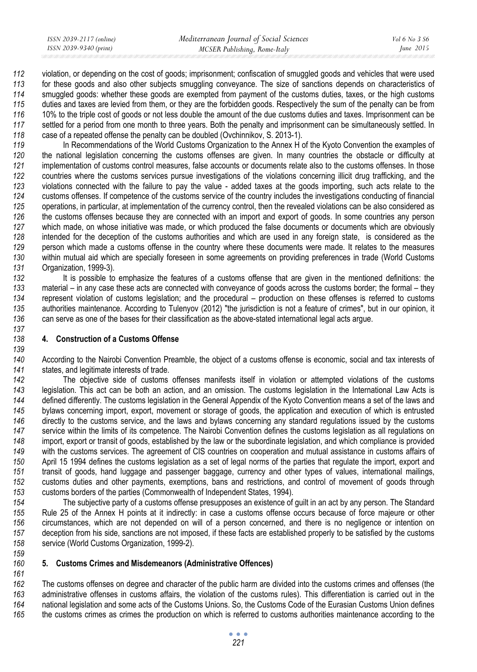violation, or depending on the cost of goods; imprisonment; confiscation of smuggled goods and vehicles that were used for these goods and also other subjects smuggling conveyance. The size of sanctions depends on characteristics of smuggled goods: whether these goods are exempted from payment of the customs duties, taxes, or the high customs duties and taxes are levied from them, or they are the forbidden goods. Respectively the sum of the penalty can be from 10% to the triple cost of goods or not less double the amount of the due customs duties and taxes. Imprisonment can be settled for a period from one month to three years. Both the penalty and imprisonment can be simultaneously settled. In case of a repeated offense the penalty can be doubled (Ovchinnikov, S. 2013-1).

In Recommendations of the World Customs Organization to the Annex H of the Kyoto Convention the examples of the national legislation concerning the customs offenses are given. In many countries the obstacle or difficulty at implementation of customs control measures, false accounts or documents relate also to the customs offenses. In those countries where the customs services pursue investigations of the violations concerning illicit drug trafficking, and the violations connected with the failure to pay the value - added taxes at the goods importing, such acts relate to the customs offenses. If competence of the customs service of the country includes the investigations conducting of financial operations, in particular, at implementation of the currency control, then the revealed violations can be also considered as the customs offenses because they are connected with an import and export of goods. In some countries any person which made, on whose initiative was made, or which produced the false documents or documents which are obviously intended for the deception of the customs authorities and which are used in any foreign state, is considered as the person which made a customs offense in the country where these documents were made. It relates to the measures within mutual aid which are specially foreseen in some agreements on providing preferences in trade (World Customs Organization, 1999-3).

It is possible to emphasize the features of a customs offense that are given in the mentioned definitions: the material – in any case these acts are connected with conveyance of goods across the customs border; the formal – they represent violation of customs legislation; and the procedural – production on these offenses is referred to customs authorities maintenance. According to Tulenyov (2012) "the jurisdiction is not a feature of crimes", but in our opinion, it can serve as one of the bases for their classification as the above-stated international legal acts argue.

## **4. Construction of a Customs Offense**

According to the Nairobi Convention Preamble, the object of a customs offense is economic, social and tax interests of states, and legitimate interests of trade.

The objective side of customs offenses manifests itself in violation or attempted violations of the customs legislation. This act can be both an action, and an omission. The customs legislation in the International Law Acts is defined differently. The customs legislation in the General Appendix of the Kyoto Сonvention means a set of the laws and bylaws concerning import, export, movement or storage of goods, the application and execution of which is entrusted directly to the customs service, and the laws and bylaws concerning any standard regulations issued by the customs service within the limits of its competence. The Nairobi Convention defines the customs legislation as all regulations on import, export or transit of goods, established by the law or the subordinate legislation, and which compliance is provided with the customs services. The agreement of CIS countries on cooperation and mutual assistance in customs affairs of April 15 1994 defines the customs legislation as a set of legal norms of the parties that regulate the import, export and transit of goods, hand luggage and passenger baggage, currency and other types of values, international mailings, customs duties and other payments, exemptions, bans and restrictions, and control of movement of goods through customs borders of the parties (Commonwealth of Independent States, 1994).

The subjective party of a customs offense presupposes an existence of guilt in an act by any person. The Standard Rule 25 of the Annex H points at it indirectly: in case a customs offense occurs because of force majeure or other circumstances, which are not depended on will of a person concerned, and there is no negligence or intention on deception from his side, sanctions are not imposed, if these facts are established properly to be satisfied by the customs service (World Customs Organization, 1999-2).

# **5. Customs Crimes and Misdemeanors (Administrative Offences)**

The customs offenses on degree and character of the public harm are divided into the customs crimes and offenses (the administrative offenses in customs affairs, the violation of the customs rules). This differentiation is carried out in the national legislation and some acts of the Customs Unions. So, the Customs Code of the Eurasian Customs Union defines the customs crimes as crimes the production on which is referred to customs authorities maintenance according to the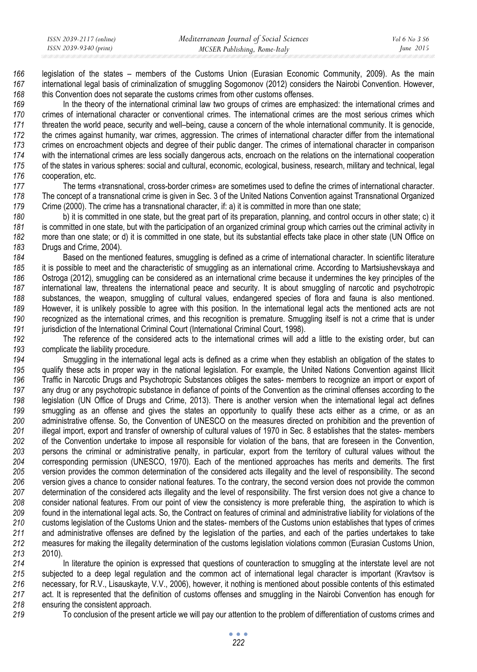legislation of the states – members of the Customs Union (Eurasian Economic Community, 2009). As the main international legal basis of criminalization of smuggling Sogomonov (2012) considers the Nairobi Convention. However, this Convention does not separate the customs crimes from other customs offenses.

In the theory of the international criminal law two groups of crimes are emphasized: the international crimes and crimes of international character or conventional crimes. The international crimes are the most serious crimes which threaten the world peace, security and well–being, cause a concern of the whole international community. It is genocide, the crimes against humanity, war crimes, aggression. The crimes of international character differ from the international crimes on encroachment objects and degree of their public danger. The crimes of international character in comparison with the international crimes are less socially dangerous acts, encroach on the relations on the international cooperation of the states in various spheres: social and cultural, economic, ecological, business, research, military and technical, legal cooperation, etc.

The terms «transnational, cross-border crimes» are sometimes used to define the crimes of international character. The concept of a transnational crime is given in Sec. 3 of the United Nations Convention against Transnational Organized Crime (2000). The crime has a transnational character, if: a) it is committed in more than one state;

b) it is committed in one state, but the great part of its preparation, planning, and control occurs in other state; c) it is committed in one state, but with the participation of an organized criminal group which carries out the criminal activity in more than one state; or d) it is committed in one state, but its substantial effects take place in other state (UN Office on Drugs and Crime, 2004).

Based on the mentioned features, smuggling is defined as a crime of international character. In scientific literature it is possible to meet and the characteristic of smuggling as an international crime. According to Martsiushevskaya and Ostroga (2012), smuggling can be considered as an international crime because it undermines the key principles of the international law, threatens the international peace and security. It is about smuggling of narcotic and psychotropic substances, the weapon, smuggling of cultural values, endangered species of flora and fauna is also mentioned. However, it is unlikely possible to agree with this position. In the international legal acts the mentioned acts are not recognized as the international crimes, and this recognition is premature. Smuggling itself is not a crime that is under **jurisdiction of the International Criminal Court (International Criminal Court, 1998).** 

The reference of the considered acts to the international crimes will add a little to the existing order, but can complicate the liability procedure.

Smuggling in the international legal acts is defined as a crime when they establish an obligation of the states to qualify these acts in proper way in the national legislation. For example, the United Nations Convention against Illicit Traffic in Narcotic Drugs and Psychotropic Substances obliges the sates- members to recognize an import or export of any drug or any psychotropic substance in defiance of points of the Convention as the criminal offenses according to the legislation (UN Office of Drugs and Crime, 2013). There is another version when the international legal act defines smuggling as an offense and gives the states an opportunity to qualify these acts either as a crime, or as an administrative offense. So, the Convention of UNESCO on the measures directed on prohibition and the prevention of illegal import, export and transfer of ownership of cultural values of 1970 in Sec. 8 establishes that the states- members of the Convention undertake to impose all responsible for violation of the bans, that are foreseen in the Convention, persons the criminal or administrative penalty, in particular, export from the territory of cultural values without the corresponding permission (UNESCO, 1970). Each of the mentioned approaches has merits and demerits. The first version provides the common determination of the considered acts illegality and the level of responsibility. The second version gives a chance to consider national features. To the contrary, the second version does not provide the common determination of the considered acts illegality and the level of responsibility. The first version does not give a chance to consider national features. From our point of view the consistency is more preferable thing, the aspiration to which is found in the international legal acts. So, the Contract on features of criminal and administrative liability for violations of the customs legislation of the Customs Union and the states- members of the Customs union establishes that types of crimes and administrative offenses are defined by the legislation of the parties, and each of the parties undertakes to take measures for making the illegality determination of the customs legislation violations common (Eurasian Customs Union, 2010).

In literature the opinion is expressed that questions of counteraction to smuggling at the interstate level are not subjected to a deep legal regulation and the common act of international legal character is important (Kravtsov is necessary, for R.V., Lisauskayte, V.V., 2006), however, it nothing is mentioned about possible contents of this estimated act. It is represented that the definition of customs offenses and smuggling in the Nairobi Convention has enough for ensuring the consistent approach.

To conclusion of the present article we will pay our attention to the problem of differentiation of customs crimes and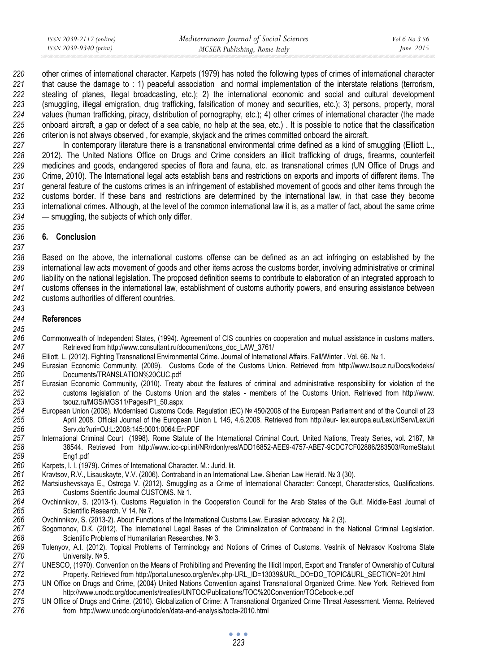| ISSN 2039-2117 (online) | Mediterranean Journal of Social Sciences | <i>Vol</i> 6 No 3 S6 |
|-------------------------|------------------------------------------|----------------------|
| ISSN 2039-9340 (print)  | MCSER Publishing, Rome-Italy             | June $2015$          |

other crimes of international character. Karpets (1979) has noted the following types of crimes of international character that cause the damage to : 1) peaceful association and normal implementation of the interstate relations (terrorism, stealing of planes, illegal broadcasting, etc.); 2) the international economic and social and cultural development (smuggling, illegal emigration, drug trafficking, falsification of money and securities, etc.); 3) persons, property, moral values (human trafficking, piracy, distribution of pornography, etc.); 4) other crimes of international character (the made onboard aircraft, a gap or defect of a sea cable, no help at the sea, etc.) . It is possible to notice that the classification criterion is not always observed , for example, skyjack and the crimes committed onboard the aircraft.

In contemporary literature there is a transnational environmental crime defined as a kind of smuggling (Elliott L., 2012). The United Nations Office on Drugs and Crime considers an illicit trafficking of drugs, firearms, counterfeit medicines and goods, endangered species of flora and fauna, etc. as transnational crimes (UN Office of Drugs and Crime, 2010). The International legal acts establish bans and restrictions on exports and imports of different items. The general feature of the customs crimes is an infringement of established movement of goods and other items through the customs border. If these bans and restrictions are determined by the international law, in that case they become international crimes. Although, at the level of the common international law it is, as a matter of fact, about the same crime — smuggling, the subjects of which only differ.

## **6. Conclusion**

Based on the above, the international customs offense can be defined as an act infringing on established by the international law acts movement of goods and other items across the customs border, involving administrative or criminal liability on the national legislation. The proposed definition seems to contribute to elaboration of an integrated approach to customs offenses in the international law, establishment of customs authority powers, and ensuring assistance between customs authorities of different countries.

### **References**

- Commonwealth of Independent States, (1994). Agreement of CIS countries on cooperation and mutual assistance in customs matters. **Retrieved from http://www.consultant.ru/document/cons\_doc\_LAW\_3761/**
- Elliott, L. (2012). Fighting Transnational Environmental Crime. Journal of International Affairs. Fall/Winter . Vol. 66. № 1.
- Eurasian Economic Community, (2009). Customs Code of the Customs Union. Retrieved from http://www.tsouz.ru/Docs/kodeks/ Documents/TRANSLATION%20CUC.pdf
- Eurasian Economic Community, (2010). Treaty about the features of criminal and administrative responsibility for violation of the customs legislation of the Customs Union and the states - members of the Customs Union. Retrieved from http://www. tsouz.ru/MGS/MGS11/Pages/P1\_50.aspx
- European Union (2008). Modernised Customs Code. Regulation (EC) № 450/2008 of the Еuropean Рarliament and of the Сouncil of 23 April 2008. Official Journal of the European Union L 145, 4.6.2008. Retrieved from http://eur- lex.europa.eu/LexUriServ/LexUri Serv.do?uri=OJ:L:2008:145:0001:0064:En:PDF
- International Criminal Court (1998). Rome Statute of the International Criminal Court. United Nations, Treaty Series, vol. 2187, № 38544. Retrieved from http://www.icc-cpi.int/NR/rdonlyres/ADD16852-AEE9-4757-ABE7-9CDC7CF02886/283503/RomeStatut Eng1.pdf
- Karpets, I. I. (1979). Crimes of International Character. M.: Jurid. lit.
- Kravtsov, R.V., Lisauskayte, V.V. (2006). Contraband in an International Law. Siberian Law Herald. № 3 (30).
- Martsiushevskaya E., Ostroga V. (2012). Smuggling as a Crime of International Character: Concept, Characteristics, Qualifications. Customs Scientific Journal CUSTOMS. № 1.
- Ovchinnikov, S. (2013-1). Customs Regulation in the Cooperation Council for the Arab States of the Gulf. Middle-East Journal of Scientific Research. V 14. № 7.
- Ovchinnikov, S. (2013-2). About Functions of the International Customs Law. Eurasian advocacy. № 2 (3).
- Sogomonov, D.К. (2012). The International Legal Bases of the Criminalization of Contraband in the National Criminal Legislation. Scientific Problems of Humanitarian Researches. № 3.
- Tulenyov, A.I. (2012). Topical Problems of Terminology and Notions of Crimes of Customs. Vestnik of Nekrasov Kostroma State University. № 5.
- UNESCO, (1970). Convention on the Means of Prohibiting and Preventing the Illicit Import, Export and Transfer of Ownership of Cultural Property. Retrieved from http://portal.unesco.org/en/ev.php-URL\_ID=13039&URL\_DO=DO\_TOPIC&URL\_SECTION=201.html
- UN Office on Drugs and Crime, (2004) United Nations Convention against Transnational Organized Crime. New York. Retrieved from 274 http://www.unodc.org/documents/treaties/UNTOC/Publications/TOC%20Convention/TOCebook-e.pdf<br>275 UN Office of Drugs and Crime. (2010). Globalization of Crime: A Transnational Organized Crime Threat Ass
- UN Office of Drugs and Crime. (2010). Globalization of Crime: A Transnational Organized Crime Threat Assessment. Vienna. Retrieved from http://www.unodc.org/unodc/en/data-and-analysis/tocta-2010.html